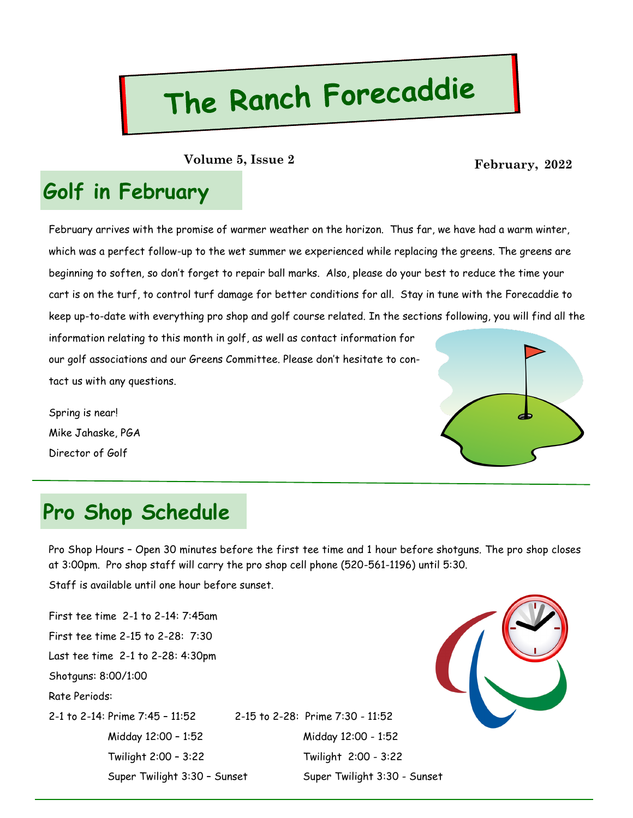# The Ranch Forecaddie

**February, 2022 Volume 5, Issue 2**

### **Golf in February**

February arrives with the promise of warmer weather on the horizon. Thus far, we have had a warm winter, which was a perfect follow-up to the wet summer we experienced while replacing the greens. The greens are beginning to soften, so don't forget to repair ball marks. Also, please do your best to reduce the time your cart is on the turf, to control turf damage for better conditions for all. Stay in tune with the Forecaddie to keep up-to-date with everything pro shop and golf course related. In the sections following, you will find all the

information relating to this month in golf, as well as contact information for our golf associations and our Greens Committee. Please don't hesitate to contact us with any questions.

Spring is near! Mike Jahaske, PGA Director of Golf



### **Pro Shop Schedule**

Pro Shop Hours – Open 30 minutes before the first tee time and 1 hour before shotguns. The pro shop closes at 3:00pm. Pro shop staff will carry the pro shop cell phone (520-561-1196) until 5:30.

Staff is available until one hour before sunset.

First tee time 2-1 to 2-14: 7:45am First tee time 2-15 to 2-28: 7:30 Last tee time 2-1 to 2-28: 4:30pm Shotguns: 8:00/1:00 Rate Periods: 2-1 to 2-14: Prime 7:45 – 11:52 2-15 to 2-28: Prime 7:30 - 11:52

 Midday 12:00 – 1:52 Midday 12:00 - 1:52 Twilight 2:00 – 3:22 Twilight 2:00 - 3:22 Super Twilight 3:30 - Sunset Super Twilight 3:30 - Sunset

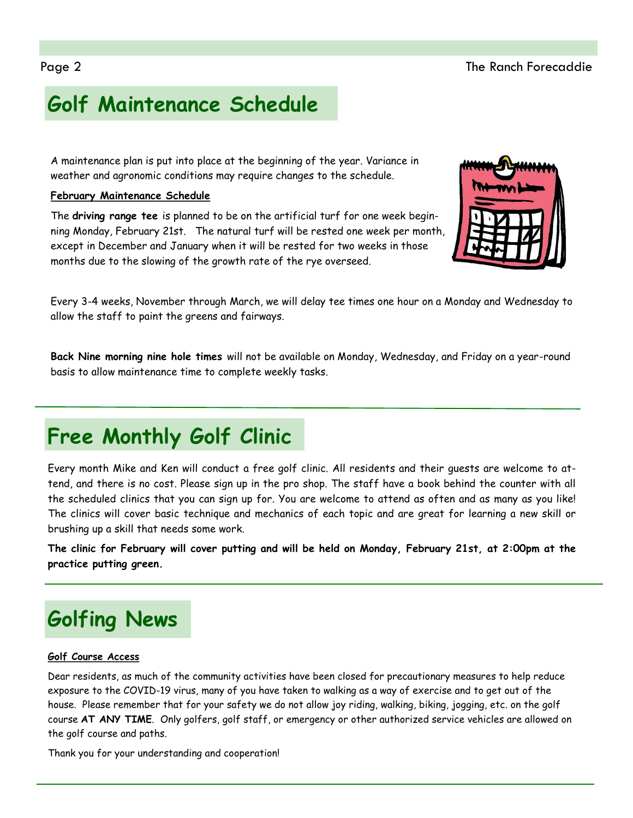# **Golf Maintenance Schedule**

A maintenance plan is put into place at the beginning of the year. Variance in weather and agronomic conditions may require changes to the schedule.

#### **February Maintenance Schedule**

The **driving range tee** is planned to be on the artificial turf for one week beginning Monday, February 21st. The natural turf will be rested one week per month, except in December and January when it will be rested for two weeks in those months due to the slowing of the growth rate of the rye overseed.

Every 3-4 weeks, November through March, we will delay tee times one hour on a Monday and Wednesday to allow the staff to paint the greens and fairways.

**Back Nine morning nine hole times** will not be available on Monday, Wednesday, and Friday on a year-round basis to allow maintenance time to complete weekly tasks.

# **Free Monthly Golf Clinic**

Every month Mike and Ken will conduct a free golf clinic. All residents and their guests are welcome to attend, and there is no cost. Please sign up in the pro shop. The staff have a book behind the counter with all the scheduled clinics that you can sign up for. You are welcome to attend as often and as many as you like! The clinics will cover basic technique and mechanics of each topic and are great for learning a new skill or brushing up a skill that needs some work.

**The clinic for February will cover putting and will be held on Monday, February 21st, at 2:00pm at the practice putting green.** 

# **Golfing News**

#### **Golf Course Access**

Dear residents, as much of the community activities have been closed for precautionary measures to help reduce exposure to the COVID-19 virus, many of you have taken to walking as a way of exercise and to get out of the house. Please remember that for your safety we do not allow joy riding, walking, biking, jogging, etc. on the golf course **AT ANY TIME**. Only golfers, golf staff, or emergency or other authorized service vehicles are allowed on the golf course and paths.

Thank you for your understanding and cooperation!

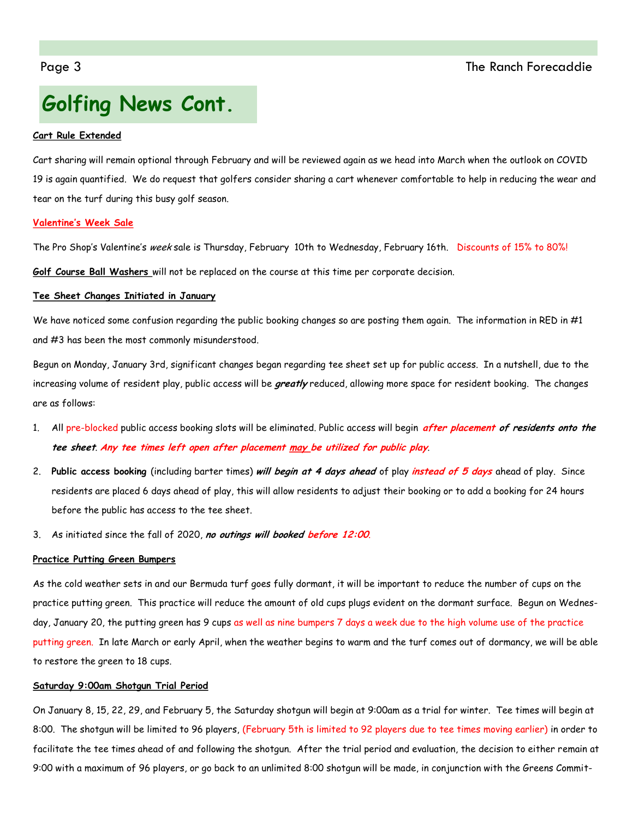# **Golfing News Cont.**

#### **Cart Rule Extended**

Cart sharing will remain optional through February and will be reviewed again as we head into March when the outlook on COVID 19 is again quantified. We do request that golfers consider sharing a cart whenever comfortable to help in reducing the wear and tear on the turf during this busy golf season.

#### **Valentine's Week Sale**

The Pro Shop's Valentine's week sale is Thursday, February 10th to Wednesday, February 16th. Discounts of 15% to 80%!

**Golf Course Ball Washers** will not be replaced on the course at this time per corporate decision.

#### **Tee Sheet Changes Initiated in January**

We have noticed some confusion regarding the public booking changes so are posting them again. The information in RED in #1 and #3 has been the most commonly misunderstood.

Begun on Monday, January 3rd, significant changes began regarding tee sheet set up for public access. In a nutshell, due to the increasing volume of resident play, public access will be **greatly** reduced, allowing more space for resident booking. The changes are as follows:

- 1. All pre-blocked public access booking slots will be eliminated. Public access will begin **after placement of residents onto the tee sheet**. **Any tee times left open after placement may be utilized for public play**.
- 2. **Public access booking** (including barter times) **will begin at 4 days ahead** of play **instead of 5 days** ahead of play. Since residents are placed 6 days ahead of play, this will allow residents to adjust their booking or to add a booking for 24 hours before the public has access to the tee sheet.
- 3. As initiated since the fall of 2020, **no outings will booked before 12:00**.

#### **Practice Putting Green Bumpers**

As the cold weather sets in and our Bermuda turf goes fully dormant, it will be important to reduce the number of cups on the practice putting green. This practice will reduce the amount of old cups plugs evident on the dormant surface. Begun on Wednesday, January 20, the putting green has 9 cups as well as nine bumpers 7 days a week due to the high volume use of the practice putting green. In late March or early April, when the weather begins to warm and the turf comes out of dormancy, we will be able to restore the green to 18 cups.

#### **Saturday 9:00am Shotgun Trial Period**

On January 8, 15, 22, 29, and February 5, the Saturday shotgun will begin at 9:00am as a trial for winter. Tee times will begin at 8:00. The shotgun will be limited to 96 players, (February 5th is limited to 92 players due to tee times moving earlier) in order to facilitate the tee times ahead of and following the shotgun. After the trial period and evaluation, the decision to either remain at 9:00 with a maximum of 96 players, or go back to an unlimited 8:00 shotgun will be made, in conjunction with the Greens Commit-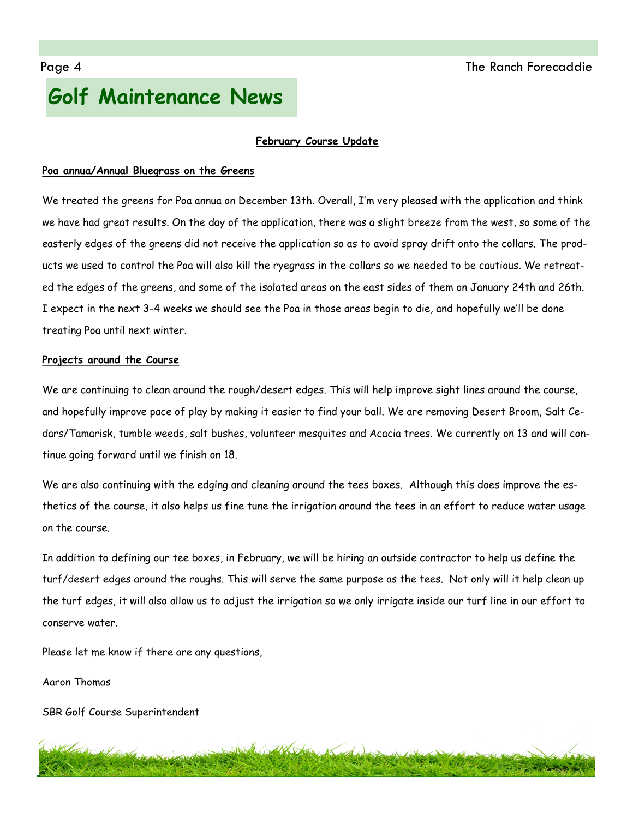# **Golf Maintenance News**

#### **February Course Update**

#### **Poa annua/Annual Bluegrass on the Greens**

We treated the greens for Poa annua on December 13th. Overall, I'm very pleased with the application and think we have had great results. On the day of the application, there was a slight breeze from the west, so some of the easterly edges of the greens did not receive the application so as to avoid spray drift onto the collars. The products we used to control the Poa will also kill the ryegrass in the collars so we needed to be cautious. We retreated the edges of the greens, and some of the isolated areas on the east sides of them on January 24th and 26th. I expect in the next 3-4 weeks we should see the Poa in those areas begin to die, and hopefully we'll be done treating Poa until next winter.

#### **Projects around the Course**

We are continuing to clean around the rough/desert edges. This will help improve sight lines around the course, and hopefully improve pace of play by making it easier to find your ball. We are removing Desert Broom, Salt Cedars/Tamarisk, tumble weeds, salt bushes, volunteer mesquites and Acacia trees. We currently on 13 and will continue going forward until we finish on 18.

We are also continuing with the edging and cleaning around the tees boxes. Although this does improve the esthetics of the course, it also helps us fine tune the irrigation around the tees in an effort to reduce water usage on the course.

In addition to defining our tee boxes, in February, we will be hiring an outside contractor to help us define the turf/desert edges around the roughs. This will serve the same purpose as the tees. Not only will it help clean up the turf edges, it will also allow us to adjust the irrigation so we only irrigate inside our turf line in our effort to conserve water.

Please let me know if there are any questions,

Aaron Thomas

SBR Golf Course Superintendent